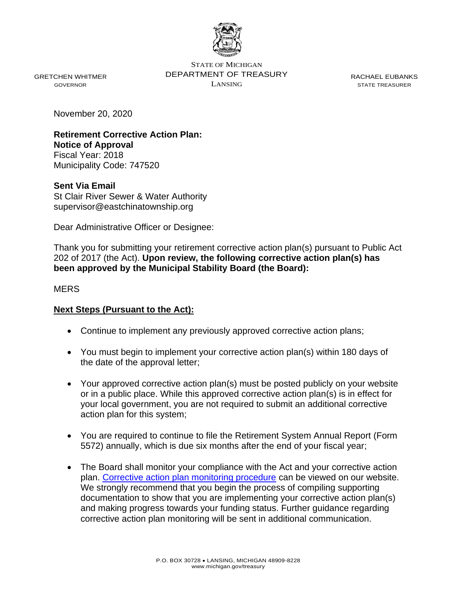

GRETCHEN WHITMER GOVERNOR

STATE OF MICHIGAN DEPARTMENT OF TREASURY LANSING

RACHAEL EUBANKS STATE TREASURER

November 20, 2020

**Retirement Corrective Action Plan: Notice of Approval** Fiscal Year: 2018 Municipality Code: 747520

**Sent Via Email** St Clair River Sewer & Water Authority supervisor@eastchinatownship.org

Dear Administrative Officer or Designee:

Thank you for submitting your retirement corrective action plan(s) pursuant to Public Act 202 of 2017 (the Act). **Upon review, the following corrective action plan(s) has been approved by the Municipal Stability Board (the Board):**

**MERS** 

## **Next Steps (Pursuant to the Act):**

- Continue to implement any previously approved corrective action plans;
- You must begin to implement your corrective action plan(s) within 180 days of the date of the approval letter;
- Your approved corrective action plan(s) must be posted publicly on your website or in a public place. While this approved corrective action plan(s) is in effect for your local government, you are not required to submit an additional corrective action plan for this system;
- You are required to continue to file the Retirement System Annual Report (Form 5572) annually, which is due six months after the end of your fiscal year;
- The Board shall monitor your compliance with the Act and your corrective action plan. [Corrective action plan monitoring procedure](file://///som.ad.state.mi.us/treasurydfs/LGOV/LAF/Mail_Merge_Docs/Retirement/CAP%20Determinations/CAP%20Approval%20Letters/Further%20guidance%20regarding%20corrective%20action%20plan%20monitoring%20will%20be%20sent%20in%20additional%20communication.) can be viewed on our website. We strongly recommend that you begin the process of compiling supporting documentation to show that you are implementing your corrective action plan(s) and making progress towards your funding status. Further guidance regarding corrective action plan monitoring will be sent in additional communication.